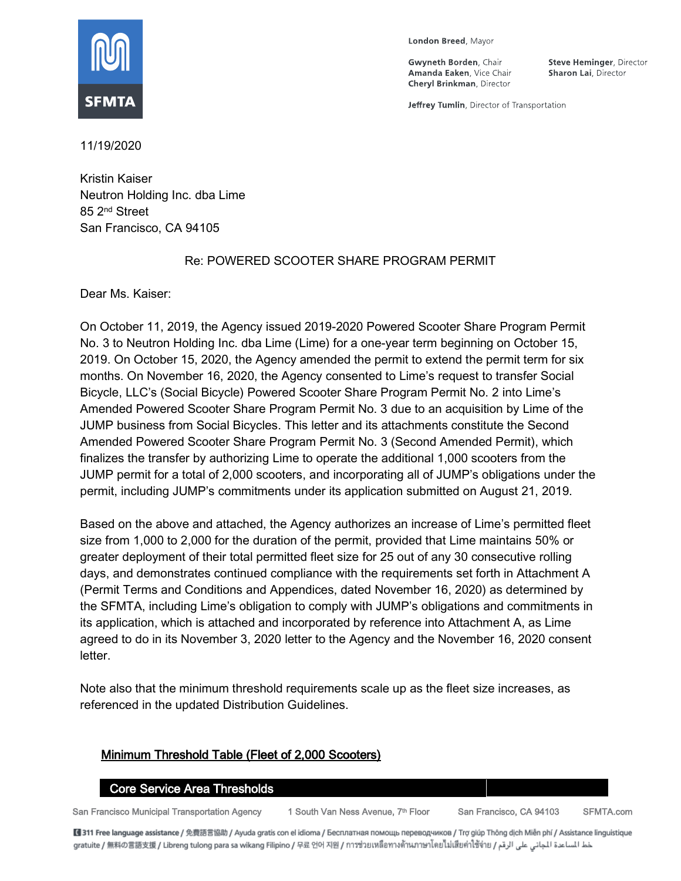

London Breed, Mayor

**Gwyneth Borden**, Chair Amanda Eaken, Vice Chair **Cheryl Brinkman, Director** 

**Steve Heminger**, Director Sharon Lai, Director

Jeffrey Tumlin, Director of Transportation

11/19/2020

Kristin Kaiser Neutron Holding Inc. dba Lime 85 2nd Street San Francisco, CA 94105

#### Re: POWERED SCOOTER SHARE PROGRAM PERMIT

Dear Ms. Kaiser:

On October 11, 2019, the Agency issued 2019-2020 Powered Scooter Share Program Permit No. 3 to Neutron Holding Inc. dba Lime (Lime) for a one-year term beginning on October 15, 2019. On October 15, 2020, the Agency amended the permit to extend the permit term for six months. On November 16, 2020, the Agency consented to Lime's request to transfer Social Bicycle, LLC's (Social Bicycle) Powered Scooter Share Program Permit No. 2 into Lime's Amended Powered Scooter Share Program Permit No. 3 due to an acquisition by Lime of the JUMP business from Social Bicycles. This letter and its attachments constitute the Second Amended Powered Scooter Share Program Permit No. 3 (Second Amended Permit), which finalizes the transfer by authorizing Lime to operate the additional 1,000 scooters from the JUMP permit for a total of 2,000 scooters, and incorporating all of JUMP's obligations under the permit, including JUMP's commitments under its application submitted on August 21, 2019.

Based on the above and attached, the Agency authorizes an increase of Lime's permitted fleet size from 1,000 to 2,000 for the duration of the permit, provided that Lime maintains 50% or greater deployment of their total permitted fleet size for 25 out of any 30 consecutive rolling days, and demonstrates continued compliance with the requirements set forth in Attachment A (Permit Terms and Conditions and Appendices, dated November 16, 2020) as determined by the SFMTA, including Lime's obligation to comply with JUMP's obligations and commitments in its application, which is attached and incorporated by reference into Attachment A, as Lime agreed to do in its November 3, 2020 letter to the Agency and the November 16, 2020 consent letter.

Note also that the minimum threshold requirements scale up as the fleet size increases, as referenced in the updated Distribution Guidelines.

# Minimum Threshold Table (Fleet of 2,000 Scooters)

#### Core Service Area Thresholds

San Francisco Municipal Transportation Agency 1 South Van Ness Avenue, 7<sup>th</sup> Floor San Francisco, CA 94103 SFMTA.com

■311 Free language assistance / 免費語言協助 / Ayuda gratis con el idioma / Бесплатная помощь переводчиков / Trợ giúp Thông dịch Miễn phí / Assistance linguistique خط المساعدة الجاني على الرقم / gratuite / 無料の言語支援 / Libreng tulong para sa wikang Filipino / 무료 언어 지원 / การช่วยเหลือทางด้านภาษาโดยไม่เสียค่าใช้จ่าย / عط المساعدة الجاني على الرقم / gratuite